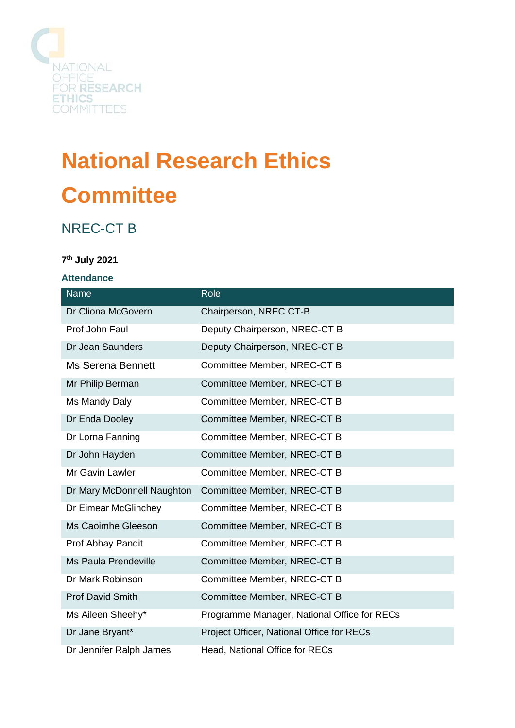

# **National Research Ethics Committee**

# NREC-CT B

# **7 th July 2021**

#### **Attendance**

| Name                        | Role                                        |
|-----------------------------|---------------------------------------------|
| Dr Cliona McGovern          | Chairperson, NREC CT-B                      |
| Prof John Faul              | Deputy Chairperson, NREC-CT B               |
| Dr Jean Saunders            | Deputy Chairperson, NREC-CT B               |
| <b>Ms Serena Bennett</b>    | Committee Member, NREC-CT B                 |
| Mr Philip Berman            | Committee Member, NREC-CT B                 |
| Ms Mandy Daly               | Committee Member, NREC-CT B                 |
| Dr Enda Dooley              | Committee Member, NREC-CT B                 |
| Dr Lorna Fanning            | Committee Member, NREC-CT B                 |
| Dr John Hayden              | Committee Member, NREC-CT B                 |
| Mr Gavin Lawler             | Committee Member, NREC-CT B                 |
| Dr Mary McDonnell Naughton  | Committee Member, NREC-CT B                 |
| Dr Eimear McGlinchey        | Committee Member, NREC-CT B                 |
| Ms Caoimhe Gleeson          | Committee Member, NREC-CT B                 |
| Prof Abhay Pandit           | Committee Member, NREC-CT B                 |
| <b>Ms Paula Prendeville</b> | Committee Member, NREC-CT B                 |
| Dr Mark Robinson            | Committee Member, NREC-CT B                 |
| <b>Prof David Smith</b>     | Committee Member, NREC-CT B                 |
| Ms Aileen Sheehy*           | Programme Manager, National Office for RECs |
| Dr Jane Bryant*             | Project Officer, National Office for RECs   |
| Dr Jennifer Ralph James     | Head, National Office for RECs              |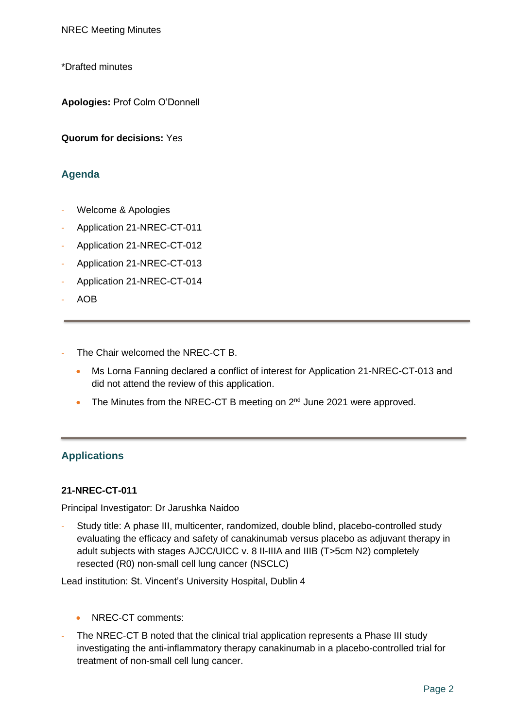\*Drafted minutes

**Apologies:** Prof Colm O'Donnell

**Quorum for decisions:** Yes

# **Agenda**

- Welcome & Apologies
- Application 21-NREC-CT-011
- Application 21-NREC-CT-012
- Application 21-NREC-CT-013
- Application 21-NREC-CT-014
- AOB
- The Chair welcomed the NREC-CT B.
	- Ms Lorna Fanning declared a conflict of interest for Application 21-NREC-CT-013 and did not attend the review of this application.
	- The Minutes from the NREC-CT B meeting on  $2^{nd}$  June 2021 were approved.

# **Applications**

#### **21-NREC-CT-011**

Principal Investigator: Dr Jarushka Naidoo

Study title: A phase III, multicenter, randomized, double blind, placebo-controlled study evaluating the efficacy and safety of canakinumab versus placebo as adjuvant therapy in adult subjects with stages AJCC/UICC v. 8 II-IIIA and IIIB (T>5cm N2) completely resected (R0) non-small cell lung cancer (NSCLC)

Lead institution: St. Vincent's University Hospital, Dublin 4

- NREC-CT comments:
- The NREC-CT B noted that the clinical trial application represents a Phase III study investigating the anti-inflammatory therapy canakinumab in a placebo-controlled trial for treatment of non-small cell lung cancer.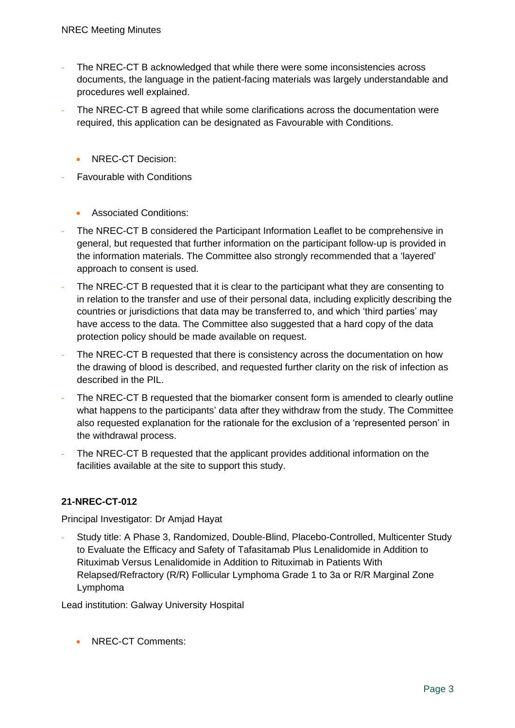- The NREC-CT B acknowledged that while there were some inconsistencies across documents, the language in the patient-facing materials was largely understandable and procedures well explained.
- The NREC-CT B agreed that while some clarifications across the documentation were required, this application can be designated as Favourable with Conditions.
	- NREC-CT Decision:
- **Favourable with Conditions** 
	- Associated Conditions:
- The NREC-CT B considered the Participant Information Leaflet to be comprehensive in general, but requested that further information on the participant follow-up is provided in the information materials. The Committee also strongly recommended that a 'layered' approach to consent is used.
- The NREC-CT B requested that it is clear to the participant what they are consenting to in relation to the transfer and use of their personal data, including explicitly describing the countries or jurisdictions that data may be transferred to, and which 'third parties' may have access to the data. The Committee also suggested that a hard copy of the data protection policy should be made available on request.
- The NREC-CT B requested that there is consistency across the documentation on how the drawing of blood is described, and requested further clarity on the risk of infection as described in the PIL.
- The NREC-CT B requested that the biomarker consent form is amended to clearly outline what happens to the participants' data after they withdraw from the study. The Committee also requested explanation for the rationale for the exclusion of a 'represented person' in the withdrawal process.
- The NREC-CT B requested that the applicant provides additional information on the facilities available at the site to support this study.

# **21-NREC-CT-012**

Principal Investigator: Dr Amjad Hayat

- Study title: A Phase 3, Randomized, Double-Blind, Placebo-Controlled, Multicenter Study to Evaluate the Efficacy and Safety of Tafasitamab Plus Lenalidomide in Addition to Rituximab Versus Lenalidomide in Addition to Rituximab in Patients With Relapsed/Refractory (R/R) Follicular Lymphoma Grade 1 to 3a or R/R Marginal Zone Lymphoma

Lead institution: Galway University Hospital

• NRFC-CT Comments: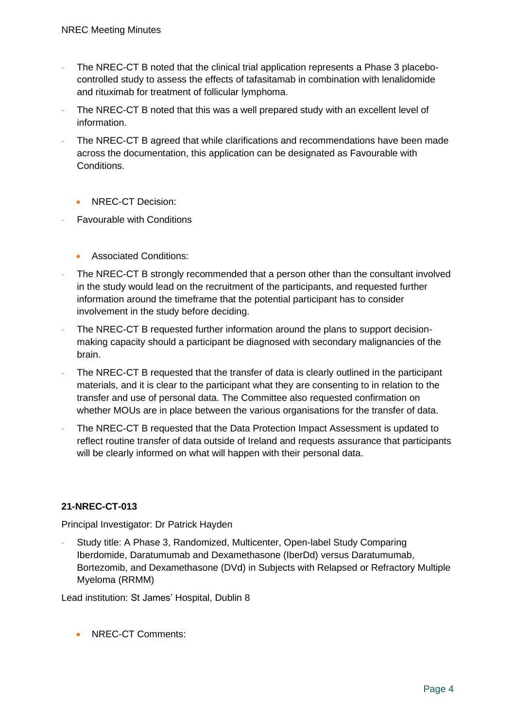- The NREC-CT B noted that the clinical trial application represents a Phase 3 placebocontrolled study to assess the effects of tafasitamab in combination with lenalidomide and rituximab for treatment of follicular lymphoma.
- The NREC-CT B noted that this was a well prepared study with an excellent level of information.
- The NREC-CT B agreed that while clarifications and recommendations have been made across the documentation, this application can be designated as Favourable with Conditions.
	- NREC-CT Decision:
- **Favourable with Conditions** 
	- Associated Conditions:
- The NREC-CT B strongly recommended that a person other than the consultant involved in the study would lead on the recruitment of the participants, and requested further information around the timeframe that the potential participant has to consider involvement in the study before deciding.
- The NREC-CT B requested further information around the plans to support decisionmaking capacity should a participant be diagnosed with secondary malignancies of the brain.
- The NREC-CT B requested that the transfer of data is clearly outlined in the participant materials, and it is clear to the participant what they are consenting to in relation to the transfer and use of personal data. The Committee also requested confirmation on whether MOUs are in place between the various organisations for the transfer of data.
- The NREC-CT B requested that the Data Protection Impact Assessment is updated to reflect routine transfer of data outside of Ireland and requests assurance that participants will be clearly informed on what will happen with their personal data.

# **21-NREC-CT-013**

Principal Investigator: Dr Patrick Hayden

- Study title: A Phase 3, Randomized, Multicenter, Open-label Study Comparing Iberdomide, Daratumumab and Dexamethasone (IberDd) versus Daratumumab, Bortezomib, and Dexamethasone (DVd) in Subjects with Relapsed or Refractory Multiple Myeloma (RRMM)

Lead institution: St James' Hospital, Dublin 8

• NREC-CT Comments: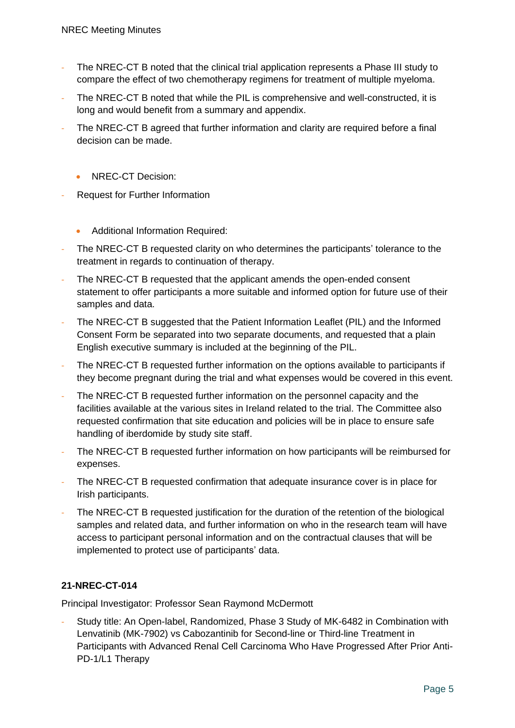- The NREC-CT B noted that the clinical trial application represents a Phase III study to compare the effect of two chemotherapy regimens for treatment of multiple myeloma.
- The NREC-CT B noted that while the PIL is comprehensive and well-constructed, it is long and would benefit from a summary and appendix.
- The NREC-CT B agreed that further information and clarity are required before a final decision can be made.
	- NREC-CT Decision:
- Request for Further Information
	- Additional Information Required:
- The NREC-CT B requested clarity on who determines the participants' tolerance to the treatment in regards to continuation of therapy.
- The NREC-CT B requested that the applicant amends the open-ended consent statement to offer participants a more suitable and informed option for future use of their samples and data.
- The NREC-CT B suggested that the Patient Information Leaflet (PIL) and the Informed Consent Form be separated into two separate documents, and requested that a plain English executive summary is included at the beginning of the PIL.
- The NREC-CT B requested further information on the options available to participants if they become pregnant during the trial and what expenses would be covered in this event.
- The NREC-CT B requested further information on the personnel capacity and the facilities available at the various sites in Ireland related to the trial. The Committee also requested confirmation that site education and policies will be in place to ensure safe handling of iberdomide by study site staff.
- The NREC-CT B requested further information on how participants will be reimbursed for expenses.
- The NREC-CT B requested confirmation that adequate insurance cover is in place for Irish participants.
- The NREC-CT B requested justification for the duration of the retention of the biological samples and related data, and further information on who in the research team will have access to participant personal information and on the contractual clauses that will be implemented to protect use of participants' data.

# **21-NREC-CT-014**

Principal Investigator: Professor Sean Raymond McDermott

Study title: An Open-label, Randomized, Phase 3 Study of MK-6482 in Combination with Lenvatinib (MK-7902) vs Cabozantinib for Second-line or Third-line Treatment in Participants with Advanced Renal Cell Carcinoma Who Have Progressed After Prior Anti-PD-1/L1 Therapy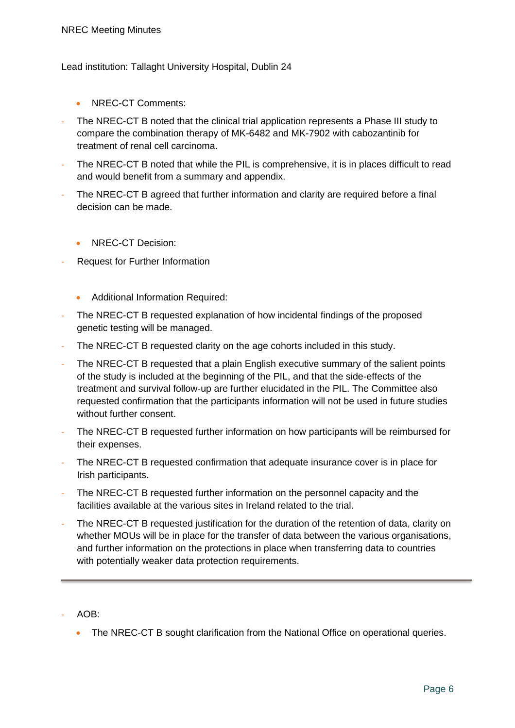#### Lead institution: Tallaght University Hospital, Dublin 24

- NREC-CT Comments:
- The NREC-CT B noted that the clinical trial application represents a Phase III study to compare the combination therapy of MK-6482 and MK-7902 with cabozantinib for treatment of renal cell carcinoma.
- The NREC-CT B noted that while the PIL is comprehensive, it is in places difficult to read and would benefit from a summary and appendix.
- The NREC-CT B agreed that further information and clarity are required before a final decision can be made.
	- NREC-CT Decision:
- Request for Further Information
	- Additional Information Required:
- The NREC-CT B requested explanation of how incidental findings of the proposed genetic testing will be managed.
- The NREC-CT B requested clarity on the age cohorts included in this study.
- The NREC-CT B requested that a plain English executive summary of the salient points of the study is included at the beginning of the PIL, and that the side-effects of the treatment and survival follow-up are further elucidated in the PIL. The Committee also requested confirmation that the participants information will not be used in future studies without further consent.
- The NREC-CT B requested further information on how participants will be reimbursed for their expenses.
- The NREC-CT B requested confirmation that adequate insurance cover is in place for Irish participants.
- The NREC-CT B requested further information on the personnel capacity and the facilities available at the various sites in Ireland related to the trial.
- The NREC-CT B requested justification for the duration of the retention of data, clarity on whether MOUs will be in place for the transfer of data between the various organisations, and further information on the protections in place when transferring data to countries with potentially weaker data protection requirements.
- AOB:
	- The NREC-CT B sought clarification from the National Office on operational queries.